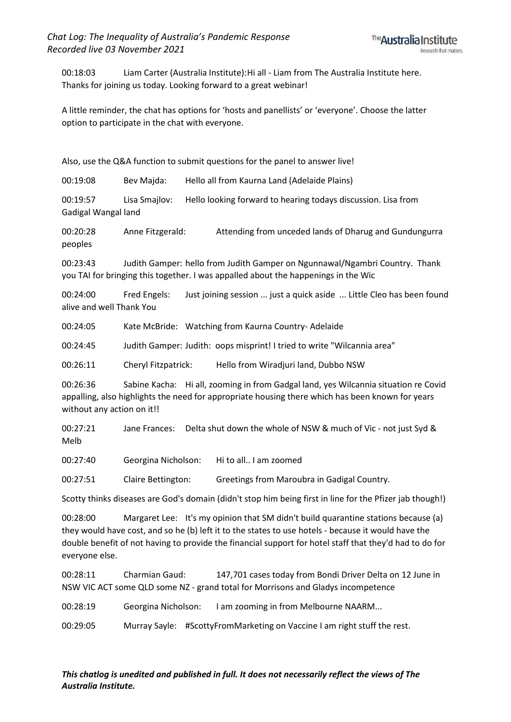00:18:03 Liam Carter (Australia Institute):Hi all - Liam from The Australia Institute here. Thanks for joining us today. Looking forward to a great webinar!

A little reminder, the chat has options for 'hosts and panellists' or 'everyone'. Choose the latter option to participate in the chat with everyone.

Also, use the Q&A function to submit questions for the panel to answer live!

00:19:08 Bev Majda: Hello all from Kaurna Land (Adelaide Plains)

00:19:57 Lisa Smajlov: Hello looking forward to hearing todays discussion. Lisa from Gadigal Wangal land

00:20:28 Anne Fitzgerald: Attending from unceded lands of Dharug and Gundungurra peoples

00:23:43 Judith Gamper: hello from Judith Gamper on Ngunnawal/Ngambri Country. Thank you TAI for bringing this together. I was appalled about the happenings in the Wic

00:24:00 Fred Engels: Just joining session ... just a quick aside ... Little Cleo has been found alive and well Thank You

00:24:05 Kate McBride: Watching from Kaurna Country- Adelaide

00:24:45 Judith Gamper: Judith: oops misprint! I tried to write "Wilcannia area"

00:26:11 Cheryl Fitzpatrick: Hello from Wiradjuri land, Dubbo NSW

00:26:36 Sabine Kacha: Hi all, zooming in from Gadgal land, yes Wilcannia situation re Covid appalling, also highlights the need for appropriate housing there which has been known for years without any action on it!!

00:27:21 Jane Frances: Delta shut down the whole of NSW & much of Vic - not just Syd & Melb

00:27:40 Georgina Nicholson: Hi to all.. I am zoomed

00:27:51 Claire Bettington: Greetings from Maroubra in Gadigal Country.

Scotty thinks diseases are God's domain (didn't stop him being first in line for the Pfizer jab though!)

00:28:00 Margaret Lee: It's my opinion that SM didn't build quarantine stations because (a) they would have cost, and so he (b) left it to the states to use hotels - because it would have the double benefit of not having to provide the financial support for hotel staff that they'd had to do for everyone else.

00:28:11 Charmian Gaud: 147,701 cases today from Bondi Driver Delta on 12 June in NSW VIC ACT some QLD some NZ - grand total for Morrisons and Gladys incompetence

00:28:19 Georgina Nicholson: I am zooming in from Melbourne NAARM...

00:29:05 Murray Sayle: #ScottyFromMarketing on Vaccine I am right stuff the rest.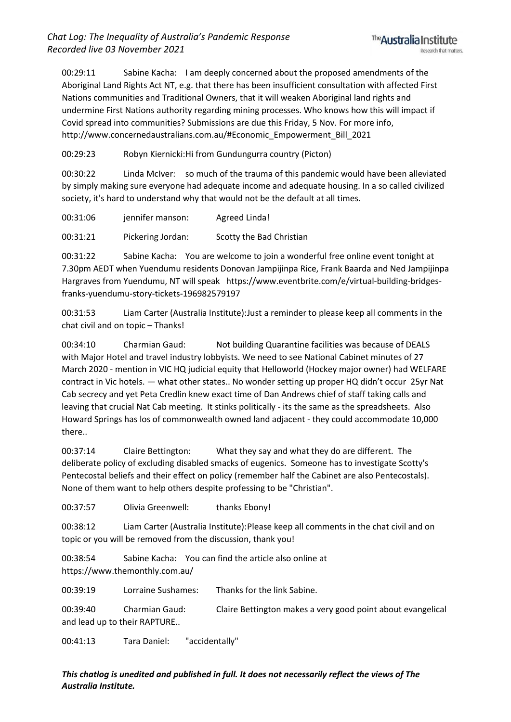00:29:11 Sabine Kacha: I am deeply concerned about the proposed amendments of the Aboriginal Land Rights Act NT, e.g. that there has been insufficient consultation with affected First Nations communities and Traditional Owners, that it will weaken Aboriginal land rights and undermine First Nations authority regarding mining processes. Who knows how this will impact if Covid spread into communities? Submissions are due this Friday, 5 Nov. For more info, http://www.concernedaustralians.com.au/#Economic\_Empowerment\_Bill\_2021

00:29:23 Robyn Kiernicki:Hi from Gundungurra country (Picton)

00:30:22 Linda McIver: so much of the trauma of this pandemic would have been alleviated by simply making sure everyone had adequate income and adequate housing. In a so called civilized society, it's hard to understand why that would not be the default at all times.

00:31:06 jennifer manson: Agreed Linda!

00:31:21 Pickering Jordan: Scotty the Bad Christian

00:31:22 Sabine Kacha: You are welcome to join a wonderful free online event tonight at 7.30pm AEDT when Yuendumu residents Donovan Jampijinpa Rice, Frank Baarda and Ned Jampijinpa Hargraves from Yuendumu, NT will speak https://www.eventbrite.com/e/virtual-building-bridgesfranks-yuendumu-story-tickets-196982579197

00:31:53 Liam Carter (Australia Institute):Just a reminder to please keep all comments in the chat civil and on topic – Thanks!

00:34:10 Charmian Gaud: Not building Quarantine facilities was because of DEALS with Major Hotel and travel industry lobbyists. We need to see National Cabinet minutes of 27 March 2020 - mention in VIC HQ judicial equity that Helloworld (Hockey major owner) had WELFARE contract in Vic hotels. — what other states.. No wonder setting up proper HQ didn't occur 25yr Nat Cab secrecy and yet Peta Credlin knew exact time of Dan Andrews chief of staff taking calls and leaving that crucial Nat Cab meeting. It stinks politically - its the same as the spreadsheets. Also Howard Springs has los of commonwealth owned land adjacent - they could accommodate 10,000 there..

00:37:14 Claire Bettington: What they say and what they do are different. The deliberate policy of excluding disabled smacks of eugenics. Someone has to investigate Scotty's Pentecostal beliefs and their effect on policy (remember half the Cabinet are also Pentecostals). None of them want to help others despite professing to be "Christian".

00:37:57 Olivia Greenwell: thanks Ebony!

00:38:12 Liam Carter (Australia Institute):Please keep all comments in the chat civil and on topic or you will be removed from the discussion, thank you!

00:38:54 Sabine Kacha: You can find the article also online at https://www.themonthly.com.au/

00:39:19 Lorraine Sushames: Thanks for the link Sabine.

00:39:40 Charmian Gaud: Claire Bettington makes a very good point about evangelical and lead up to their RAPTURE..

00:41:13 Tara Daniel: "accidentally"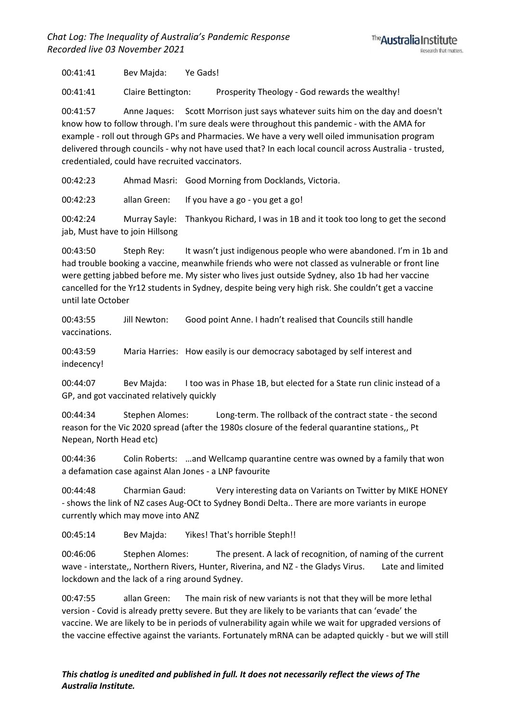00:41:41 Bev Majda: Ye Gads!

00:41:41 Claire Bettington: Prosperity Theology - God rewards the wealthy!

00:41:57 Anne Jaques: Scott Morrison just says whatever suits him on the day and doesn't know how to follow through. I'm sure deals were throughout this pandemic - with the AMA for example - roll out through GPs and Pharmacies. We have a very well oiled immunisation program delivered through councils - why not have used that? In each local council across Australia - trusted, credentialed, could have recruited vaccinators.

00:42:23 Ahmad Masri: Good Morning from Docklands, Victoria.

00:42:23 allan Green: If you have a go - you get a go!

00:42:24 Murray Sayle: Thankyou Richard, I was in 1B and it took too long to get the second jab, Must have to join Hillsong

00:43:50 Steph Rey: It wasn't just indigenous people who were abandoned. I'm in 1b and had trouble booking a vaccine, meanwhile friends who were not classed as vulnerable or front line were getting jabbed before me. My sister who lives just outside Sydney, also 1b had her vaccine cancelled for the Yr12 students in Sydney, despite being very high risk. She couldn't get a vaccine until late October

00:43:55 Jill Newton: Good point Anne. I hadn't realised that Councils still handle vaccinations.

00:43:59 Maria Harries: How easily is our democracy sabotaged by self interest and indecency!

00:44:07 Bev Majda: I too was in Phase 1B, but elected for a State run clinic instead of a GP, and got vaccinated relatively quickly

00:44:34 Stephen Alomes: Long-term. The rollback of the contract state - the second reason for the Vic 2020 spread (after the 1980s closure of the federal quarantine stations,, Pt Nepean, North Head etc)

00:44:36 Colin Roberts: …and Wellcamp quarantine centre was owned by a family that won a defamation case against Alan Jones - a LNP favourite

00:44:48 Charmian Gaud: Very interesting data on Variants on Twitter by MIKE HONEY - shows the link of NZ cases Aug-OCt to Sydney Bondi Delta.. There are more variants in europe currently which may move into ANZ

00:45:14 Bev Majda: Yikes! That's horrible Steph!!

00:46:06 Stephen Alomes: The present. A lack of recognition, of naming of the current wave - interstate,, Northern Rivers, Hunter, Riverina, and NZ - the Gladys Virus. Late and limited lockdown and the lack of a ring around Sydney.

00:47:55 allan Green: The main risk of new variants is not that they will be more lethal version - Covid is already pretty severe. But they are likely to be variants that can 'evade' the vaccine. We are likely to be in periods of vulnerability again while we wait for upgraded versions of the vaccine effective against the variants. Fortunately mRNA can be adapted quickly - but we will still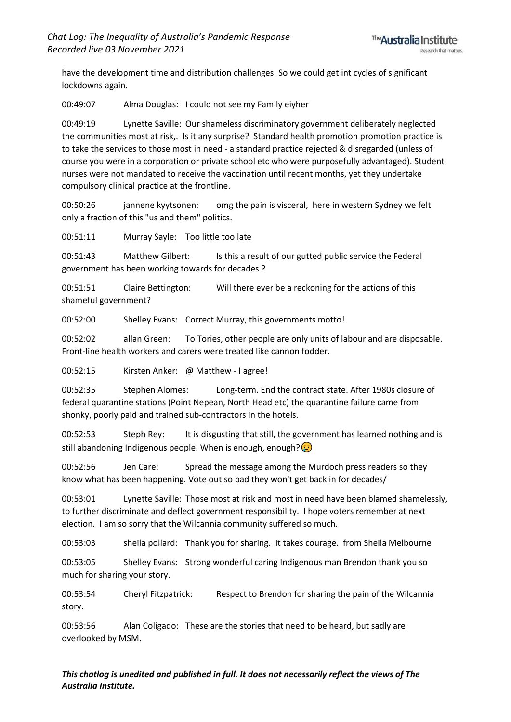have the development time and distribution challenges. So we could get int cycles of significant lockdowns again.

00:49:07 Alma Douglas: I could not see my Family eiyher

00:49:19 Lynette Saville: Our shameless discriminatory government deliberately neglected the communities most at risk,. Is it any surprise? Standard health promotion promotion practice is to take the services to those most in need - a standard practice rejected & disregarded (unless of course you were in a corporation or private school etc who were purposefully advantaged). Student nurses were not mandated to receive the vaccination until recent months, yet they undertake compulsory clinical practice at the frontline.

00:50:26 jannene kyytsonen: omg the pain is visceral, here in western Sydney we felt only a fraction of this "us and them" politics.

00:51:11 Murray Sayle: Too little too late

00:51:43 Matthew Gilbert: Is this a result of our gutted public service the Federal government has been working towards for decades ?

00:51:51 Claire Bettington: Will there ever be a reckoning for the actions of this shameful government?

00:52:00 Shelley Evans: Correct Murray, this governments motto!

00:52:02 allan Green: To Tories, other people are only units of labour and are disposable. Front-line health workers and carers were treated like cannon fodder.

00:52:15 Kirsten Anker: @ Matthew - I agree!

00:52:35 Stephen Alomes: Long-term. End the contract state. After 1980s closure of federal quarantine stations (Point Nepean, North Head etc) the quarantine failure came from shonky, poorly paid and trained sub-contractors in the hotels.

00:52:53 Steph Rey: It is disgusting that still, the government has learned nothing and is still abandoning Indigenous people. When is enough, enough? $\bigcirc$ 

00:52:56 Jen Care: Spread the message among the Murdoch press readers so they know what has been happening. Vote out so bad they won't get back in for decades/

00:53:01 Lynette Saville: Those most at risk and most in need have been blamed shamelessly, to further discriminate and deflect government responsibility. I hope voters remember at next election. I am so sorry that the Wilcannia community suffered so much.

00:53:03 sheila pollard: Thank you for sharing. It takes courage. from Sheila Melbourne

00:53:05 Shelley Evans: Strong wonderful caring Indigenous man Brendon thank you so much for sharing your story.

00:53:54 Cheryl Fitzpatrick: Respect to Brendon for sharing the pain of the Wilcannia story.

00:53:56 Alan Coligado: These are the stories that need to be heard, but sadly are overlooked by MSM.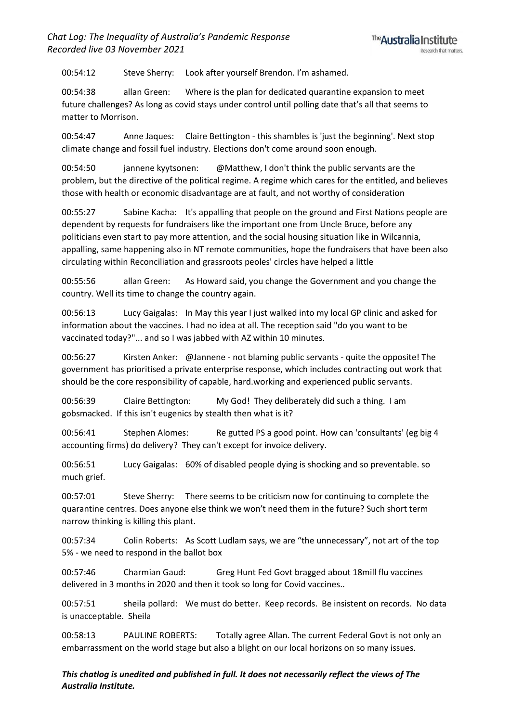00:54:12 Steve Sherry: Look after yourself Brendon. I'm ashamed.

00:54:38 allan Green: Where is the plan for dedicated quarantine expansion to meet future challenges? As long as covid stays under control until polling date that's all that seems to matter to Morrison.

00:54:47 Anne Jaques: Claire Bettington - this shambles is 'just the beginning'. Next stop climate change and fossil fuel industry. Elections don't come around soon enough.

00:54:50 jannene kyytsonen: @Matthew, I don't think the public servants are the problem, but the directive of the political regime. A regime which cares for the entitled, and believes those with health or economic disadvantage are at fault, and not worthy of consideration

00:55:27 Sabine Kacha: It's appalling that people on the ground and First Nations people are dependent by requests for fundraisers like the important one from Uncle Bruce, before any politicians even start to pay more attention, and the social housing situation like in Wilcannia, appalling, same happening also in NT remote communities, hope the fundraisers that have been also circulating within Reconciliation and grassroots peoles' circles have helped a little

00:55:56 allan Green: As Howard said, you change the Government and you change the country. Well its time to change the country again.

00:56:13 Lucy Gaigalas: In May this year I just walked into my local GP clinic and asked for information about the vaccines. I had no idea at all. The reception said "do you want to be vaccinated today?"... and so I was jabbed with AZ within 10 minutes.

00:56:27 Kirsten Anker: @Jannene - not blaming public servants - quite the opposite! The government has prioritised a private enterprise response, which includes contracting out work that should be the core responsibility of capable, hard.working and experienced public servants.

00:56:39 Claire Bettington: My God! They deliberately did such a thing. I am gobsmacked. If this isn't eugenics by stealth then what is it?

00:56:41 Stephen Alomes: Re gutted PS a good point. How can 'consultants' (eg big 4 accounting firms) do delivery? They can't except for invoice delivery.

00:56:51 Lucy Gaigalas: 60% of disabled people dying is shocking and so preventable. so much grief.

00:57:01 Steve Sherry: There seems to be criticism now for continuing to complete the quarantine centres. Does anyone else think we won't need them in the future? Such short term narrow thinking is killing this plant.

00:57:34 Colin Roberts: As Scott Ludlam says, we are "the unnecessary", not art of the top 5% - we need to respond in the ballot box

00:57:46 Charmian Gaud: Greg Hunt Fed Govt bragged about 18mill flu vaccines delivered in 3 months in 2020 and then it took so long for Covid vaccines..

00:57:51 sheila pollard: We must do better. Keep records. Be insistent on records. No data is unacceptable. Sheila

00:58:13 PAULINE ROBERTS: Totally agree Allan. The current Federal Govt is not only an embarrassment on the world stage but also a blight on our local horizons on so many issues.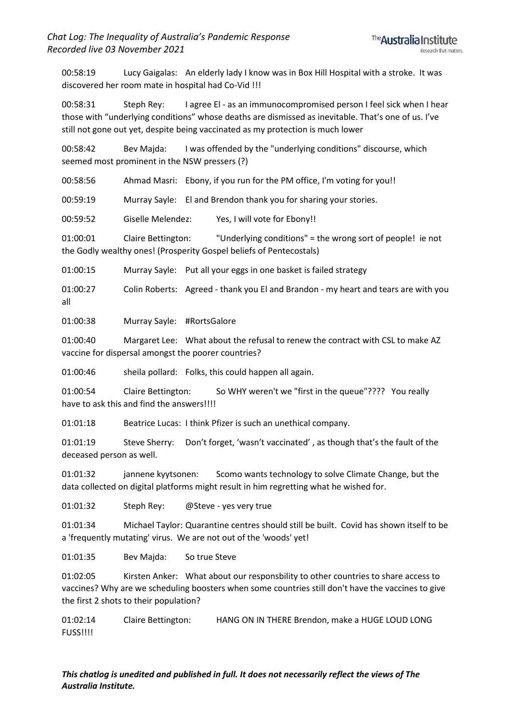00:58:19 Lucy Gaigalas: An elderly lady I know was in Box Hill Hospital with a stroke. It was discovered her room mate in hospital had Co-Vid !!!

00:58:31 Steph Rey: I agree El - as an immunocompromised person I feel sick when I hear those with "underlying conditions" whose deaths are dismissed as inevitable. That's one of us. I've still not gone out yet, despite being vaccinated as my protection is much lower

00:58:42 Bev Majda: I was offended by the "underlying conditions" discourse, which seemed most prominent in the NSW pressers (?)

00:58:56 Ahmad Masri: Ebony, if you run for the PM office, I'm voting for you!!

00:59:19 Murray Sayle: El and Brendon thank you for sharing your stories.

00:59:52 Giselle Melendez: Yes, I will vote for Ebony!!

01:00:01 Claire Bettington: "Underlying conditions" = the wrong sort of people! ie not the Godly wealthy ones! (Prosperity Gospel beliefs of Pentecostals)

01:00:15 Murray Sayle: Put all your eggs in one basket is failed strategy

01:00:27 Colin Roberts: Agreed - thank you El and Brandon - my heart and tears are with you all

01:00:38 Murray Sayle: #RortsGalore

01:00:40 Margaret Lee: What about the refusal to renew the contract with CSL to make AZ vaccine for dispersal amongst the poorer countries?

01:00:46 sheila pollard: Folks, this could happen all again.

01:00:54 Claire Bettington: So WHY weren't we "first in the queue"???? You really have to ask this and find the answers!!!!

01:01:18 Beatrice Lucas: I think Pfizer is such an unethical company.

01:01:19 Steve Sherry: Don't forget, 'wasn't vaccinated' , as though that's the fault of the deceased person as well.

01:01:32 jannene kyytsonen: Scomo wants technology to solve Climate Change, but the data collected on digital platforms might result in him regretting what he wished for.

01:01:32 Steph Rey: @Steve - yes very true

01:01:34 Michael Taylor: Quarantine centres should still be built. Covid has shown itself to be a 'frequently mutating' virus. We are not out of the 'woods' yet!

01:01:35 Bev Majda: So true Steve

01:02:05 Kirsten Anker: What about our responsbility to other countries to share access to vaccines? Why are we scheduling boosters when some countries still don't have the vaccines to give the first 2 shots to their population?

01:02:14 Claire Bettington: HANG ON IN THERE Brendon, make a HUGE LOUD LONG FUSS!!!!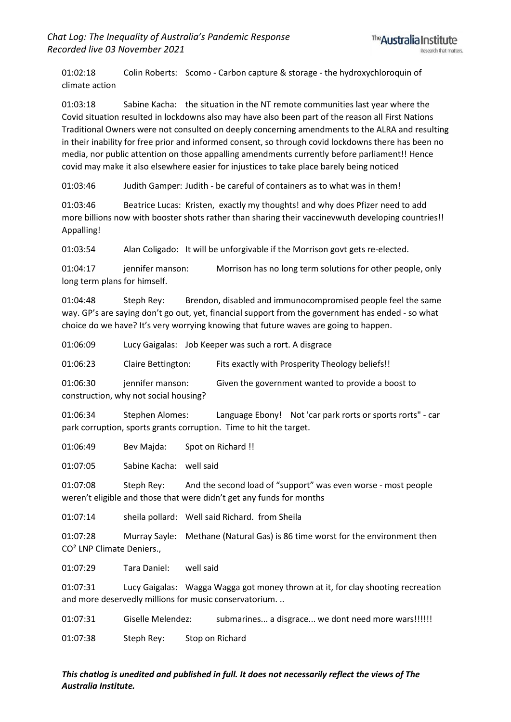01:02:18 Colin Roberts: Scomo - Carbon capture & storage - the hydroxychloroquin of climate action

01:03:18 Sabine Kacha: the situation in the NT remote communities last year where the Covid situation resulted in lockdowns also may have also been part of the reason all First Nations Traditional Owners were not consulted on deeply concerning amendments to the ALRA and resulting in their inability for free prior and informed consent, so through covid lockdowns there has been no media, nor public attention on those appalling amendments currently before parliament!! Hence covid may make it also elsewhere easier for injustices to take place barely being noticed

01:03:46 Judith Gamper: Judith - be careful of containers as to what was in them!

01:03:46 Beatrice Lucas: Kristen, exactly my thoughts! and why does Pfizer need to add more billions now with booster shots rather than sharing their vaccinevwuth developing countries!! Appalling!

01:03:54 Alan Coligado: It will be unforgivable if the Morrison govt gets re-elected.

01:04:17 iennifer manson: Morrison has no long term solutions for other people, only long term plans for himself.

01:04:48 Steph Rey: Brendon, disabled and immunocompromised people feel the same way. GP's are saying don't go out, yet, financial support from the government has ended - so what choice do we have? It's very worrying knowing that future waves are going to happen.

01:06:09 Lucy Gaigalas: Job Keeper was such a rort. A disgrace

01:06:23 Claire Bettington: Fits exactly with Prosperity Theology beliefs!!

01:06:30 jennifer manson: Given the government wanted to provide a boost to construction, why not social housing?

01:06:34 Stephen Alomes: Language Ebony! Not 'car park rorts or sports rorts" - car park corruption, sports grants corruption. Time to hit the target.

01:06:49 Bev Maida: Spot on Richard !!

01:07:05 Sabine Kacha: well said

01:07:08 Steph Rey: And the second load of "support" was even worse - most people weren't eligible and those that were didn't get any funds for months

01:07:14 sheila pollard: Well said Richard. from Sheila

01:07:28 Murray Sayle: Methane (Natural Gas) is 86 time worst for the environment then CO² LNP Climate Deniers.,

01:07:29 Tara Daniel: well said

01:07:31 Lucy Gaigalas: Wagga Wagga got money thrown at it, for clay shooting recreation and more deservedly millions for music conservatorium. ..

01:07:31 Giselle Melendez: submarines... a disgrace... we dont need more wars!!!!!! 01:07:38 Steph Rey: Stop on Richard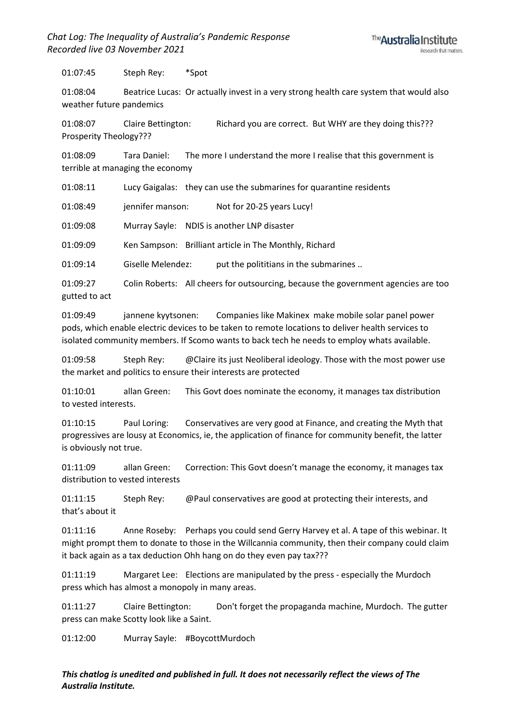01:07:45 Steph Rey: \*Spot

01:08:04 Beatrice Lucas: Or actually invest in a very strong health care system that would also weather future pandemics

01:08:07 Claire Bettington: Richard you are correct. But WHY are they doing this??? Prosperity Theology???

01:08:09 Tara Daniel: The more I understand the more I realise that this government is terrible at managing the economy

01:08:11 Lucy Gaigalas: they can use the submarines for quarantine residents

01:08:49 jennifer manson: Not for 20-25 years Lucy!

01:09:08 Murray Sayle: NDIS is another LNP disaster

01:09:09 Ken Sampson: Brilliant article in The Monthly, Richard

01:09:14 Giselle Melendez: put the polititians in the submarines ..

01:09:27 Colin Roberts: All cheers for outsourcing, because the government agencies are too gutted to act

01:09:49 jannene kyytsonen: Companies like Makinex make mobile solar panel power pods, which enable electric devices to be taken to remote locations to deliver health services to isolated community members. If Scomo wants to back tech he needs to employ whats available.

01:09:58 Steph Rey: @Claire its just Neoliberal ideology. Those with the most power use the market and politics to ensure their interests are protected

01:10:01 allan Green: This Govt does nominate the economy, it manages tax distribution to vested interests.

01:10:15 Paul Loring: Conservatives are very good at Finance, and creating the Myth that progressives are lousy at Economics, ie, the application of finance for community benefit, the latter is obviously not true.

01:11:09 allan Green: Correction: This Govt doesn't manage the economy, it manages tax distribution to vested interests

01:11:15 Steph Rey: @Paul conservatives are good at protecting their interests, and that's about it

01:11:16 Anne Roseby: Perhaps you could send Gerry Harvey et al. A tape of this webinar. It might prompt them to donate to those in the Willcannia community, then their company could claim it back again as a tax deduction Ohh hang on do they even pay tax???

01:11:19 Margaret Lee: Elections are manipulated by the press - especially the Murdoch press which has almost a monopoly in many areas.

01:11:27 Claire Bettington: Don't forget the propaganda machine, Murdoch. The gutter press can make Scotty look like a Saint.

01:12:00 Murray Sayle: #BoycottMurdoch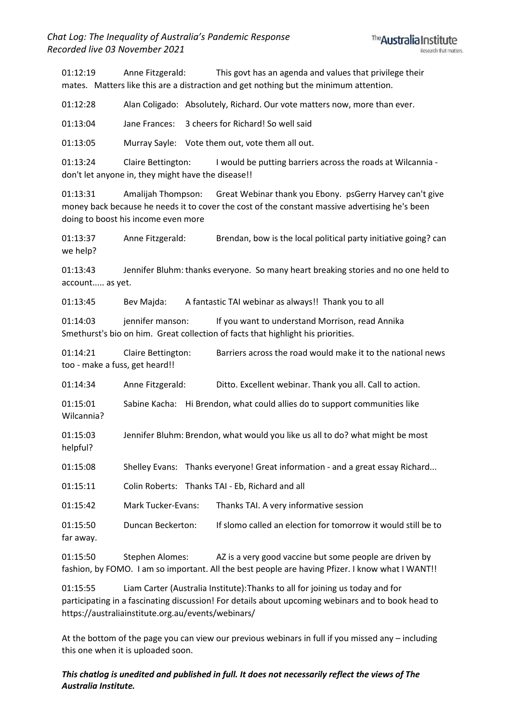01:12:19 Anne Fitzgerald: This govt has an agenda and values that privilege their mates. Matters like this are a distraction and get nothing but the minimum attention.

01:12:28 Alan Coligado: Absolutely, Richard. Our vote matters now, more than ever.

01:13:04 Jane Frances: 3 cheers for Richard! So well said

01:13:05 Murray Sayle: Vote them out, vote them all out.

01:13:24 Claire Bettington: I would be putting barriers across the roads at Wilcannia don't let anyone in, they might have the disease!!

01:13:31 Amalijah Thompson: Great Webinar thank you Ebony. psGerry Harvey can't give money back because he needs it to cover the cost of the constant massive advertising he's been doing to boost his income even more

01:13:37 Anne Fitzgerald: Brendan, bow is the local political party initiative going? can we help?

01:13:43 Jennifer Bluhm: thanks everyone. So many heart breaking stories and no one held to account..... as yet.

01:13:45 Bev Majda: A fantastic TAI webinar as always!! Thank you to all

01:14:03 jennifer manson: If you want to understand Morrison, read Annika Smethurst's bio on him. Great collection of facts that highlight his priorities.

01:14:21 Claire Bettington: Barriers across the road would make it to the national news too - make a fuss, get heard!!

01:14:34 Anne Fitzgerald: Ditto. Excellent webinar. Thank you all. Call to action.

01:15:01 Sabine Kacha: Hi Brendon, what could allies do to support communities like Wilcannia?

01:15:03 Jennifer Bluhm: Brendon, what would you like us all to do? what might be most helpful?

01:15:08 Shelley Evans: Thanks everyone! Great information - and a great essay Richard...

01:15:11 Colin Roberts: Thanks TAI - Eb, Richard and all

01:15:42 Mark Tucker-Evans: Thanks TAI. A very informative session

01:15:50 Duncan Beckerton: If slomo called an election for tomorrow it would still be to far away.

01:15:50 Stephen Alomes: AZ is a very good vaccine but some people are driven by fashion, by FOMO. I am so important. All the best people are having Pfizer. I know what I WANT!!

01:15:55 Liam Carter (Australia Institute):Thanks to all for joining us today and for participating in a fascinating discussion! For details about upcoming webinars and to book head to https://australiainstitute.org.au/events/webinars/

At the bottom of the page you can view our previous webinars in full if you missed any – including this one when it is uploaded soon.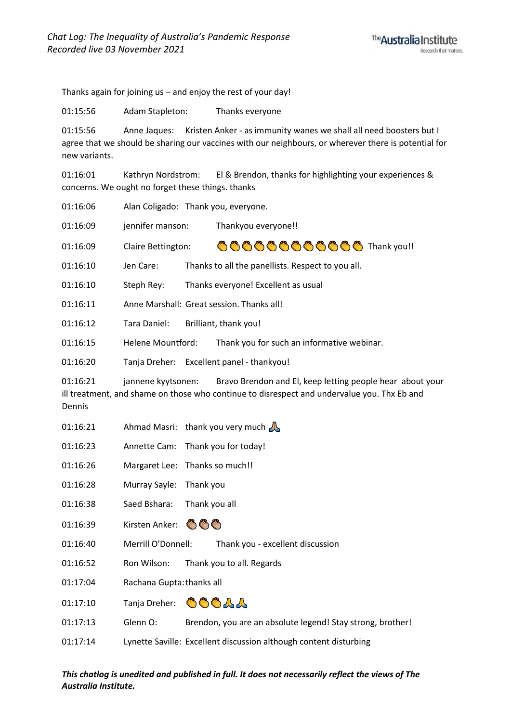Thanks again for joining us - and enjoy the rest of your day!

01:15:56 Adam Stapleton: Thanks everyone

01:15:56 Anne Jaques: Kristen Anker - as immunity wanes we shall all need boosters but I agree that we should be sharing our vaccines with our neighbours, or wherever there is potential for new variants.

01:16:01 Kathryn Nordstrom: El & Brendon, thanks for highlighting your experiences & concerns. We ought no forget these things. thanks

| 01:16:06 |  | Alan Coligado: Thank you, everyone. |
|----------|--|-------------------------------------|
|----------|--|-------------------------------------|

01:16:09 jennifer manson: Thankyou everyone!!

666666666666 Thank you!! 01:16:09 Claire Bettington:

 $01:16:10$ Jen Care: Thanks to all the panellists. Respect to you all.

01:16:10 Steph Rey: Thanks everyone! Excellent as usual

01:16:11 Anne Marshall: Great session. Thanks all!

01:16:12 Tara Daniel: Brilliant, thank you!

01:16:15 **Helene Mountford:** Thank you for such an informative webinar.

01:16:20 Tanja Dreher: Excellent panel - thankyou!

 $01:16:21$ Bravo Brendon and El, keep letting people hear about your jannene kyytsonen: ill treatment, and shame on those who continue to disrespect and undervalue you. Thx Eb and Dennis

- 01:16:21 Ahmad Masri: thank you very much  $\mathbb{A}$
- 01:16:23 Annette Cam: Thank you for today!
- 01:16:26 Margaret Lee: Thanks so much!!
- 01:16:28 Murray Sayle: Thank you
- 01:16:38 Saed Bshara: Thank you all
- 01:16:39 Kirsten Anker: 6

01:16:40 Merrill O'Donnell: Thank you - excellent discussion

- 01:16:52 Ron Wilson: Thank you to all. Regards
- 01:17:04 Rachana Gupta: thanks all
- OOOAA 01:17:10 Tanja Dreher:
- 01:17:13 Glenn O: Brendon, you are an absolute legend! Stay strong, brother!
- Lynette Saville: Excellent discussion although content disturbing 01:17:14